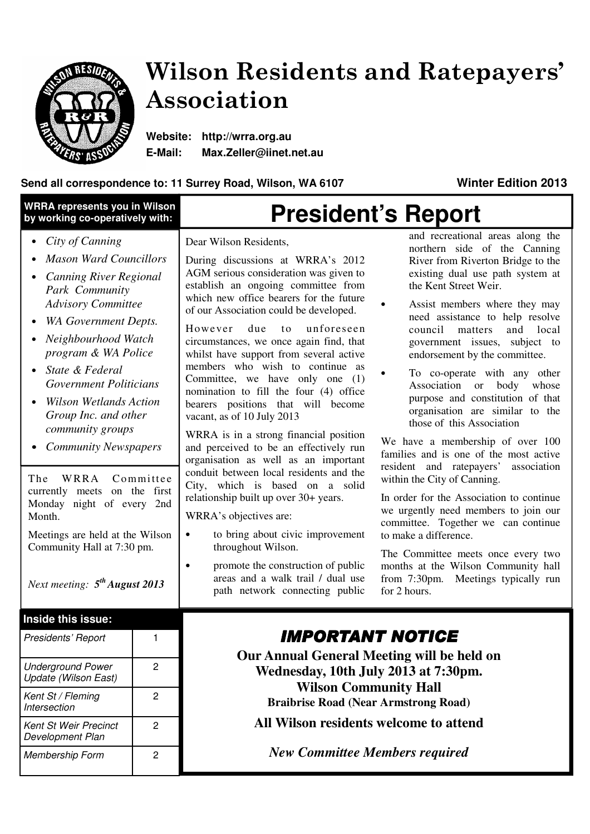

# Wilson Residents and Ratepayers' Association

**Website: http://wrra.org.au E-Mail: Max.Zeller@iinet.net.au** 

# **Send all correspondence to: 11 Surrey Road, Wilson, WA 6107 Winter Edition 2013**

| <b>WRRA represents you in Wilson</b><br>by working co-operatively with:                                                                                                                                                                                                                                                                                                                                                                                                                                                                                                          |                | <b>President's Report</b>                                                                                                                                                                                                                                                                                                                                                                                                                                                                                                                                                                                                                                                                                                                                                                                                                                                                                                                                                                                          |                                                                                                                                                                                                                                                                                                                                                                                                                                                                                                                                                                                                                                                                                                                                                                                                                                                                                                                                                                                     |  |
|----------------------------------------------------------------------------------------------------------------------------------------------------------------------------------------------------------------------------------------------------------------------------------------------------------------------------------------------------------------------------------------------------------------------------------------------------------------------------------------------------------------------------------------------------------------------------------|----------------|--------------------------------------------------------------------------------------------------------------------------------------------------------------------------------------------------------------------------------------------------------------------------------------------------------------------------------------------------------------------------------------------------------------------------------------------------------------------------------------------------------------------------------------------------------------------------------------------------------------------------------------------------------------------------------------------------------------------------------------------------------------------------------------------------------------------------------------------------------------------------------------------------------------------------------------------------------------------------------------------------------------------|-------------------------------------------------------------------------------------------------------------------------------------------------------------------------------------------------------------------------------------------------------------------------------------------------------------------------------------------------------------------------------------------------------------------------------------------------------------------------------------------------------------------------------------------------------------------------------------------------------------------------------------------------------------------------------------------------------------------------------------------------------------------------------------------------------------------------------------------------------------------------------------------------------------------------------------------------------------------------------------|--|
| City of Canning<br><b>Mason Ward Councillors</b><br><b>Canning River Regional</b><br>Park Community<br><b>Advisory Committee</b><br>WA Government Depts.<br>Neighbourhood Watch<br>program & WA Police<br>State & Federal<br>$\bullet$<br><b>Government Politicians</b><br><b>Wilson Wetlands Action</b><br>Group Inc. and other<br>community groups<br><b>Community Newspapers</b><br>WRRA<br>The<br>currently meets on the first<br>Monday night of every 2nd<br>Month.<br>Meetings are held at the Wilson<br>Community Hall at 7:30 pm.<br>Next meeting: $5^{th}$ August 2013 | Committee      | Dear Wilson Residents,<br>During discussions at WRRA's 2012<br>AGM serious consideration was given to<br>establish an ongoing committee from<br>which new office bearers for the future<br>of our Association could be developed.<br>due<br>unforeseen<br>However<br>to<br>circumstances, we once again find, that<br>whilst have support from several active<br>members who wish to continue as<br>Committee, we have only one (1)<br>nomination to fill the four (4) office<br>bearers positions that will become<br>vacant, as of 10 July 2013<br>WRRA is in a strong financial position<br>and perceived to be an effectively run<br>organisation as well as an important<br>conduit between local residents and the<br>City, which is based on a solid<br>relationship built up over 30+ years.<br>WRRA's objectives are:<br>to bring about civic improvement<br>throughout Wilson.<br>promote the construction of public<br>$\bullet$<br>areas and a walk trail / dual use<br>path network connecting public | and recreational areas along the<br>northern side of the Canning<br>River from Riverton Bridge to the<br>existing dual use path system at<br>the Kent Street Weir.<br>Assist members where they may<br>need assistance to help resolve<br>council<br>local<br>matters<br>and<br>government issues, subject to<br>endorsement by the committee.<br>To co-operate with any other<br>Association<br>body whose<br>or<br>purpose and constitution of that<br>organisation are similar to the<br>those of this Association<br>We have a membership of over 100<br>families and is one of the most active<br>resident and ratepayers'<br>association<br>within the City of Canning.<br>In order for the Association to continue<br>we urgently need members to join our<br>committee. Together we can continue<br>to make a difference.<br>The Committee meets once every two<br>months at the Wilson Community hall<br>from $7:30 \text{pm}$ .<br>Meetings typically run<br>for 2 hours. |  |
| Inside this issue:<br>Presidents' Report                                                                                                                                                                                                                                                                                                                                                                                                                                                                                                                                         | 1.             | IMPORTANT NOTICI                                                                                                                                                                                                                                                                                                                                                                                                                                                                                                                                                                                                                                                                                                                                                                                                                                                                                                                                                                                                   |                                                                                                                                                                                                                                                                                                                                                                                                                                                                                                                                                                                                                                                                                                                                                                                                                                                                                                                                                                                     |  |
| <b>Underground Power</b><br>Update (Wilson East)                                                                                                                                                                                                                                                                                                                                                                                                                                                                                                                                 | $\overline{c}$ | <b>Our Annual General Meeting will be held on</b><br>Wednesday, 10th July 2013 at 7:30pm.<br><b>Wilson Community Hall</b><br><b>Braibrise Road (Near Armstrong Road)</b><br>All Wilson residents welcome to attend                                                                                                                                                                                                                                                                                                                                                                                                                                                                                                                                                                                                                                                                                                                                                                                                 |                                                                                                                                                                                                                                                                                                                                                                                                                                                                                                                                                                                                                                                                                                                                                                                                                                                                                                                                                                                     |  |
| Kent St / Fleming<br>Intersection                                                                                                                                                                                                                                                                                                                                                                                                                                                                                                                                                | $\overline{c}$ |                                                                                                                                                                                                                                                                                                                                                                                                                                                                                                                                                                                                                                                                                                                                                                                                                                                                                                                                                                                                                    |                                                                                                                                                                                                                                                                                                                                                                                                                                                                                                                                                                                                                                                                                                                                                                                                                                                                                                                                                                                     |  |
| <b>Kent St Weir Precinct</b><br>Development Plan                                                                                                                                                                                                                                                                                                                                                                                                                                                                                                                                 | $\overline{c}$ |                                                                                                                                                                                                                                                                                                                                                                                                                                                                                                                                                                                                                                                                                                                                                                                                                                                                                                                                                                                                                    |                                                                                                                                                                                                                                                                                                                                                                                                                                                                                                                                                                                                                                                                                                                                                                                                                                                                                                                                                                                     |  |
| $\overline{c}$<br>Membership Form                                                                                                                                                                                                                                                                                                                                                                                                                                                                                                                                                |                | <b>New Committee Members required</b>                                                                                                                                                                                                                                                                                                                                                                                                                                                                                                                                                                                                                                                                                                                                                                                                                                                                                                                                                                              |                                                                                                                                                                                                                                                                                                                                                                                                                                                                                                                                                                                                                                                                                                                                                                                                                                                                                                                                                                                     |  |